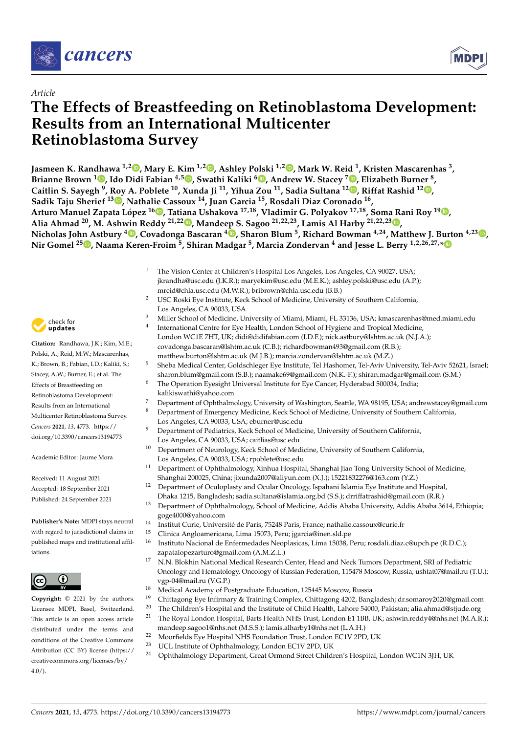

*Article*



# **The Effects of Breastfeeding on Retinoblastoma Development: Results from an International Multicenter Retinoblastoma Survey**

**Jasmeen K. Randhawa 1,[2](https://orcid.org/0000-0002-9120-8901) , Mary E. Kim 1,2 [,](https://orcid.org/0000-0002-7986-6119) Ashley Polski 1,2 [,](https://orcid.org/0000-0001-6301-6892) Mark W. Reid <sup>1</sup> , Kristen Mascarenhas <sup>3</sup> , Brianne Brown <sup>1</sup> [,](https://orcid.org/0000-0002-0852-1981) Ido Didi Fabian 4,5 [,](https://orcid.org/0000-0002-0846-5131) Swathi Kaliki <sup>6</sup> [,](https://orcid.org/0000-0002-0800-9961) Andrew W. Stacey <sup>7</sup> [,](https://orcid.org/0000-0002-4441-6302) Elizabeth Burner <sup>8</sup> , Caitlin S. Sayegh <sup>9</sup> , Roy A. Poblete <sup>10</sup>, Xunda Ji <sup>11</sup>, Yihua Zou <sup>11</sup>, Sadia Sultana <sup>12</sup> [,](https://orcid.org/0000-0002-5930-0142) Riffat Rashid 1[2](https://orcid.org/0000-0003-2312-0649) , Sadik Taju Sherief <sup>13</sup> [,](https://orcid.org/0000-0003-4614-4563) Nathalie Cassoux <sup>14</sup>, Juan Garcia <sup>15</sup>, Rosdali Diaz Coronado <sup>16</sup> , Arturo Manuel Zapata López <sup>16</sup> [,](https://orcid.org/0000-0002-3423-1988) Tatiana Ushakova 17,18, Vladimir G. Polyakov 17,18, Soma Rani Roy <sup>19</sup> [,](https://orcid.org/0000-0002-7095-4489) Alia Ahmad <sup>20</sup>, M. Ashwin Reddy 21,22 [,](https://orcid.org/0000-0001-6624-1518) Mandeep S. Sagoo 21,22,23, Lamis Al Harby 21,22,23 [,](https://orcid.org/0000-0001-9367-8395) Nicholas John Astbury <sup>4</sup> [,](https://orcid.org/0000-0002-8123-4823) Covadonga Bascaran <sup>4</sup> [,](https://orcid.org/0000-0002-5662-3325) Sharon Blum <sup>5</sup> , Richard Bowman 4,24, Matthew J. Burton 4,23 [,](https://orcid.org/0000-0003-1872-9169) Nir Gomel <sup>25</sup> [,](https://orcid.org/0000-0002-4771-1374) Naama Keren-Froim <sup>5</sup> , Shiran Madgar <sup>5</sup> , Marcia Zondervan <sup>4</sup> and Jesse L. Berry 1,2,26,27,[\\*](https://orcid.org/0000-0002-8907-9100)**

- <sup>1</sup> The Vision Center at Children's Hospital Los Angeles, Los Angeles, CA 90027, USA; jkrandha@usc.edu (J.K.R.); maryekim@usc.edu (M.E.K.); ashley.polski@usc.edu (A.P.); mreid@chla.usc.edu (M.W.R.); bribrown@chla.usc.edu (B.B.)
- <sup>2</sup> USC Roski Eye Institute, Keck School of Medicine, University of Southern California, Los Angeles, CA 90033, USA
- <sup>3</sup> Miller School of Medicine, University of Miami, Miami, FL 33136, USA; kmascarenhas@med.miami.edu
	- International Centre for Eye Health, London School of Hygiene and Tropical Medicine, London WC1E 7HT, UK; didi@didifabian.com (I.D.F.); nick.astbury@lshtm.ac.uk (N.J.A.); covadonga.bascaran@lshtm.ac.uk (C.B.); richardbowman493@gmail.com (R.B.); matthew.burton@lshtm.ac.uk (M.J.B.); marcia.zondervan@lshtm.ac.uk (M.Z.)
- <sup>5</sup> Sheba Medical Center, Goldschleger Eye Institute, Tel Hashomer, Tel-Aviv University, Tel-Aviv 52621, Israel; sharon.blum@gmail.com (S.B.); naamake69@gmail.com (N.K.-F.); shiran.madgar@gmail.com (S.M.)
- <sup>6</sup> The Operation Eyesight Universal Institute for Eye Cancer, Hyderabad 500034, India; kalikiswathi@yahoo.com
- <sup>7</sup> Department of Ophthalmology, University of Washington, Seattle, WA 98195, USA; andrewstacey@gmail.com <sup>8</sup> Department of Emergency Medicine, Keck School of Medicine, University of Southern California,
- Los Angeles, CA 90033, USA; eburner@usc.edu
- <sup>9</sup> Department of Pediatrics, Keck School of Medicine, University of Southern California, Los Angeles, CA 90033, USA; caitlias@usc.edu
- <sup>10</sup> Department of Neurology, Keck School of Medicine, University of Southern California, Los Angeles, CA 90033, USA; rpoblete@usc.edu
- <sup>11</sup> Department of Ophthalmology, Xinhua Hospital, Shanghai Jiao Tong University School of Medicine, Shanghai 200025, China; jixunda2007@aliyun.com (X.J.); 15221832276@163.com (Y.Z.)
- <sup>12</sup> Department of Oculoplasty and Ocular Oncology, Ispahani Islamia Eye Institute and Hospital, Dhaka 1215, Bangladesh; sadia.sultana@islamia.org.bd (S.S.); drriffatrashid@gmail.com (R.R.)
- <sup>13</sup> Department of Ophthalmology, School of Medicine, Addis Ababa University, Addis Ababa 3614, Ethiopia; goge4000@yahoo.com
- <sup>14</sup> Institut Curie, Université de Paris, 75248 Paris, France; nathalie.cassoux@curie.fr
	- <sup>15</sup> Clinica Angloamericana, Lima 15073, Peru; jgarcia@inen.sld.pe
- <sup>16</sup> Instituto Nacional de Enfermedades Neoplasicas, Lima 15038, Peru; rosdali.diaz.c@upch.pe (R.D.C.); zapatalopezarturo@gmail.com (A.M.Z.L.)
	- <sup>17</sup> N.N. Blokhin National Medical Research Center, Head and Neck Tumors Department, SRI of Pediatric Oncology and Hematology, Oncology of Russian Federation, 115478 Moscow, Russia; ushtat07@mail.ru (T.U.); vgp-04@mail.ru (V.G.P.)
	- <sup>18</sup> Medical Academy of Postgraduate Education, 125445 Moscow, Russia<br><sup>19</sup> Chitterine Frankfurture & Turining Canaday, Chitterine 4203, Braz
	- <sup>19</sup> Chittagong Eye Infirmary & Training Complex, Chittagong 4202, Bangladesh; dr.somaroy2020@gmail.com
- <sup>20</sup> The Children's Hospital and the Institute of Child Health, Lahore 54000, Pakistan; alia.ahmad@stjude.org<br><sup>21</sup> The Paval Landan Hospital Barts Hoalth NHS Trust Landan E1.1BB, LIK: sehvin raddy/@nhs.net (M.A. P
	- <sup>21</sup> The Royal London Hospital, Barts Health NHS Trust, London E1 1BB, UK; ashwin.reddy4@nhs.net (M.A.R.); mandeep.sagoo1@nhs.net (M.S.S.); lamis.alharby1@nhs.net (L.A.H.)
	- <sup>22</sup> Moorfields Eye Hospital NHS Foundation Trust, London EC1V 2PD, UK<br><sup>23</sup> UCL Institute of Ophthalmology London EC1V 2PD, UK
	- <sup>23</sup> UCL Institute of Ophthalmology, London EC1V 2PD, UK<br><sup>24</sup> Outstability Department, Creat Ormond Street Childi
	- <sup>24</sup> Ophthalmology Department, Great Ormond Street Children's Hospital, London WC1N 3JH, UK



**Citation:** Randhawa, J.K.; Kim, M.E.; Polski, A.; Reid, M.W.; Mascarenhas, K.; Brown, B.; Fabian, I.D.; Kaliki, S.; Stacey, A.W.; Burner, E.; et al. The Effects of Breastfeeding on Retinoblastoma Development: Results from an International Multicenter Retinoblastoma Survey. *Cancers* **2021**, *13*, 4773. [https://](https://doi.org/10.3390/cancers13194773) [doi.org/10.3390/cancers13194773](https://doi.org/10.3390/cancers13194773)

4

Academic Editor: Jaume Mora

Received: 11 August 2021 Accepted: 18 September 2021 Published: 24 September 2021

**Publisher's Note:** MDPI stays neutral with regard to jurisdictional claims in published maps and institutional affiliations.



**Copyright:** © 2021 by the authors. Licensee MDPI, Basel, Switzerland. This article is an open access article distributed under the terms and conditions of the Creative Commons Attribution (CC BY) license (https:/[/](https://creativecommons.org/licenses/by/4.0/) [creativecommons.org/licenses/by/](https://creativecommons.org/licenses/by/4.0/)  $4.0/$ ).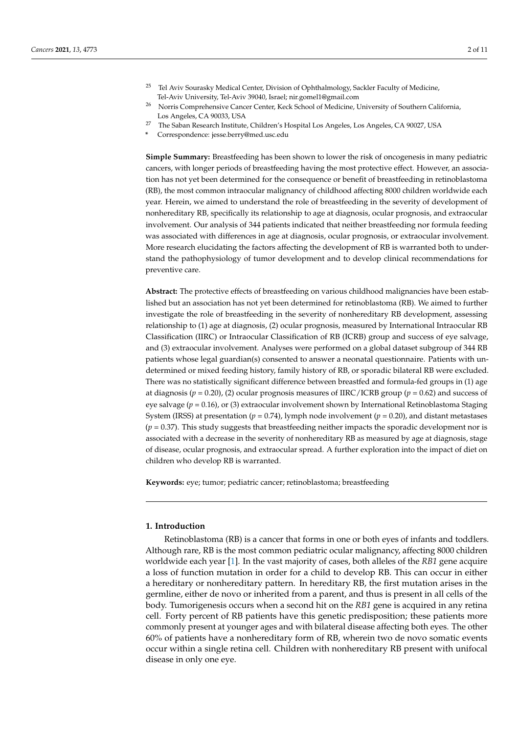- <sup>25</sup> Tel Aviv Sourasky Medical Center, Division of Ophthalmology, Sackler Faculty of Medicine, Tel-Aviv University, Tel-Aviv 39040, Israel; nir.gomel1@gmail.com
- <sup>26</sup> Norris Comprehensive Cancer Center, Keck School of Medicine, University of Southern California, Los Angeles, CA 90033, USA
- <sup>27</sup> The Saban Research Institute, Children's Hospital Los Angeles, Los Angeles, CA 90027, USA
- **\*** Correspondence: jesse.berry@med.usc.edu

**Simple Summary:** Breastfeeding has been shown to lower the risk of oncogenesis in many pediatric cancers, with longer periods of breastfeeding having the most protective effect. However, an association has not yet been determined for the consequence or benefit of breastfeeding in retinoblastoma (RB), the most common intraocular malignancy of childhood affecting 8000 children worldwide each year. Herein, we aimed to understand the role of breastfeeding in the severity of development of nonhereditary RB, specifically its relationship to age at diagnosis, ocular prognosis, and extraocular involvement. Our analysis of 344 patients indicated that neither breastfeeding nor formula feeding was associated with differences in age at diagnosis, ocular prognosis, or extraocular involvement. More research elucidating the factors affecting the development of RB is warranted both to understand the pathophysiology of tumor development and to develop clinical recommendations for preventive care.

**Abstract:** The protective effects of breastfeeding on various childhood malignancies have been established but an association has not yet been determined for retinoblastoma (RB). We aimed to further investigate the role of breastfeeding in the severity of nonhereditary RB development, assessing relationship to (1) age at diagnosis, (2) ocular prognosis, measured by International Intraocular RB Classification (IIRC) or Intraocular Classification of RB (ICRB) group and success of eye salvage, and (3) extraocular involvement. Analyses were performed on a global dataset subgroup of 344 RB patients whose legal guardian(s) consented to answer a neonatal questionnaire. Patients with undetermined or mixed feeding history, family history of RB, or sporadic bilateral RB were excluded. There was no statistically significant difference between breastfed and formula-fed groups in (1) age at diagnosis (*p* = 0.20), (2) ocular prognosis measures of IIRC/ICRB group (*p* = 0.62) and success of eye salvage (*p* = 0.16), or (3) extraocular involvement shown by International Retinoblastoma Staging System (IRSS) at presentation ( $p = 0.74$ ), lymph node involvement ( $p = 0.20$ ), and distant metastases  $(p = 0.37)$ . This study suggests that breastfeeding neither impacts the sporadic development nor is associated with a decrease in the severity of nonhereditary RB as measured by age at diagnosis, stage of disease, ocular prognosis, and extraocular spread. A further exploration into the impact of diet on children who develop RB is warranted.

**Keywords:** eye; tumor; pediatric cancer; retinoblastoma; breastfeeding

## **1. Introduction**

Retinoblastoma (RB) is a cancer that forms in one or both eyes of infants and toddlers. Although rare, RB is the most common pediatric ocular malignancy, affecting 8000 children worldwide each year [\[1\]](#page-9-0). In the vast majority of cases, both alleles of the *RB1* gene acquire a loss of function mutation in order for a child to develop RB. This can occur in either a hereditary or nonhereditary pattern. In hereditary RB, the first mutation arises in the germline, either de novo or inherited from a parent, and thus is present in all cells of the body. Tumorigenesis occurs when a second hit on the *RB1* gene is acquired in any retina cell. Forty percent of RB patients have this genetic predisposition; these patients more commonly present at younger ages and with bilateral disease affecting both eyes. The other 60% of patients have a nonhereditary form of RB, wherein two de novo somatic events occur within a single retina cell. Children with nonhereditary RB present with unifocal disease in only one eye.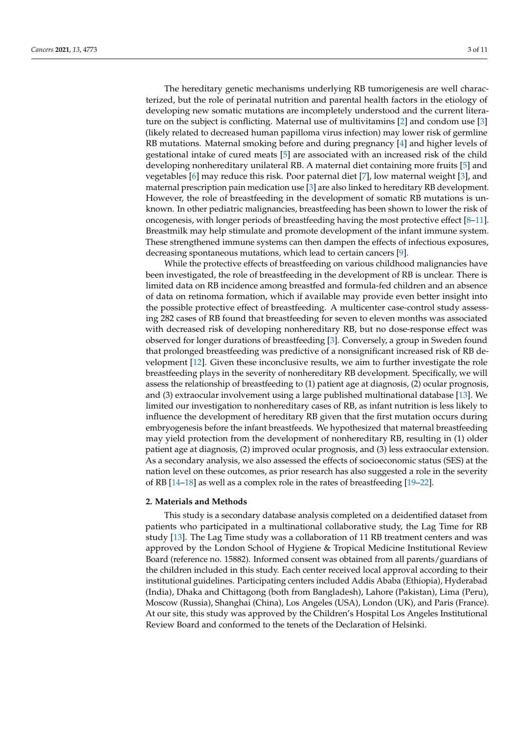The hereditary genetic mechanisms underlying RB tumorigenesis are well characterized, but the role of perinatal nutrition and parental health factors in the etiology of developing new somatic mutations are incompletely understood and the current literature on the subject is conflicting. Maternal use of multivitamins  $[2]$  and condom use  $[3]$ (likely related to decreased human papilloma virus infection) may lower risk of germline RB mutations. Maternal smoking before and during pregnancy [\[4\]](#page-9-3) and higher levels of gestational intake of cured meats [\[5\]](#page-9-4) are associated with an increased risk of the child developing nonhereditary unilateral RB. A maternal diet containing more fruits [\[5\]](#page-9-4) and vegetables [\[6\]](#page-9-5) may reduce this risk. Poor paternal diet [\[7\]](#page-9-6), low maternal weight [\[3\]](#page-9-2), and maternal prescription pain medication use [\[3\]](#page-9-2) are also linked to hereditary RB development. However, the role of breastfeeding in the development of somatic RB mutations is unknown. In other pediatric malignancies, breastfeeding has been shown to lower the risk of oncogenesis, with longer periods of breastfeeding having the most protective effect [\[8](#page-9-7)[–11\]](#page-9-8). Breastmilk may help stimulate and promote development of the infant immune system. These strengthened immune systems can then dampen the effects of infectious exposures, decreasing spontaneous mutations, which lead to certain cancers [\[9\]](#page-9-9).

While the protective effects of breastfeeding on various childhood malignancies have been investigated, the role of breastfeeding in the development of RB is unclear. There is limited data on RB incidence among breastfed and formula-fed children and an absence of data on retinoma formation, which if available may provide even better insight into the possible protective effect of breastfeeding. A multicenter case-control study assessing 282 cases of RB found that breastfeeding for seven to eleven months was associated with decreased risk of developing nonhereditary RB, but no dose-response effect was observed for longer durations of breastfeeding [\[3\]](#page-9-2). Conversely, a group in Sweden found that prolonged breastfeeding was predictive of a nonsignificant increased risk of RB development [\[12\]](#page-9-10). Given these inconclusive results, we aim to further investigate the role breastfeeding plays in the severity of nonhereditary RB development. Specifically, we will assess the relationship of breastfeeding to (1) patient age at diagnosis, (2) ocular prognosis, and (3) extraocular involvement using a large published multinational database [\[13\]](#page-9-11). We limited our investigation to nonhereditary cases of RB, as infant nutrition is less likely to influence the development of hereditary RB given that the first mutation occurs during embryogenesis before the infant breastfeeds. We hypothesized that maternal breastfeeding may yield protection from the development of nonhereditary RB, resulting in (1) older patient age at diagnosis, (2) improved ocular prognosis, and (3) less extraocular extension. As a secondary analysis, we also assessed the effects of socioeconomic status (SES) at the nation level on these outcomes, as prior research has also suggested a role in the severity of RB [\[14](#page-10-0)[–18\]](#page-10-1) as well as a complex role in the rates of breastfeeding [\[19](#page-10-2)[–22\]](#page-10-3).

#### **2. Materials and Methods**

This study is a secondary database analysis completed on a deidentified dataset from patients who participated in a multinational collaborative study, the Lag Time for RB study [\[13\]](#page-9-11). The Lag Time study was a collaboration of 11 RB treatment centers and was approved by the London School of Hygiene & Tropical Medicine Institutional Review Board (reference no. 15882). Informed consent was obtained from all parents/guardians of the children included in this study. Each center received local approval according to their institutional guidelines. Participating centers included Addis Ababa (Ethiopia), Hyderabad (India), Dhaka and Chittagong (both from Bangladesh), Lahore (Pakistan), Lima (Peru), Moscow (Russia), Shanghai (China), Los Angeles (USA), London (UK), and Paris (France). At our site, this study was approved by the Children's Hospital Los Angeles Institutional Review Board and conformed to the tenets of the Declaration of Helsinki.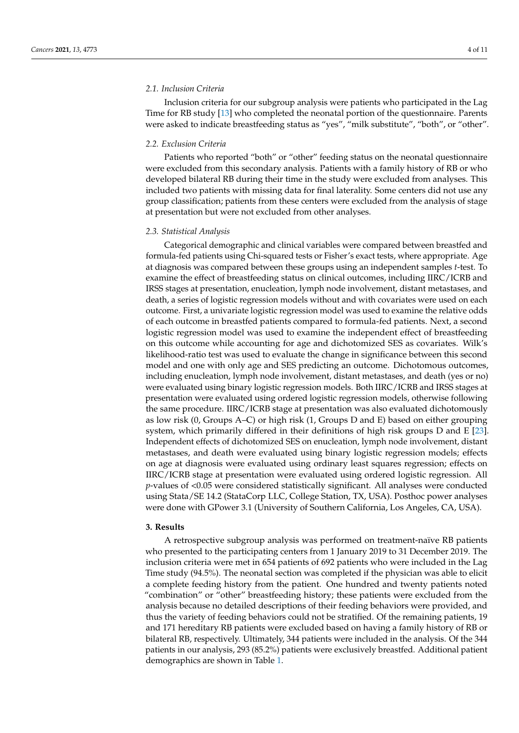#### *2.1. Inclusion Criteria*

Inclusion criteria for our subgroup analysis were patients who participated in the Lag Time for RB study [\[13\]](#page-9-11) who completed the neonatal portion of the questionnaire. Parents were asked to indicate breastfeeding status as "yes", "milk substitute", "both", or "other".

## *2.2. Exclusion Criteria*

Patients who reported "both" or "other" feeding status on the neonatal questionnaire were excluded from this secondary analysis. Patients with a family history of RB or who developed bilateral RB during their time in the study were excluded from analyses. This included two patients with missing data for final laterality. Some centers did not use any group classification; patients from these centers were excluded from the analysis of stage at presentation but were not excluded from other analyses.

#### *2.3. Statistical Analysis*

Categorical demographic and clinical variables were compared between breastfed and formula-fed patients using Chi-squared tests or Fisher's exact tests, where appropriate. Age at diagnosis was compared between these groups using an independent samples *t*-test. To examine the effect of breastfeeding status on clinical outcomes, including IIRC/ICRB and IRSS stages at presentation, enucleation, lymph node involvement, distant metastases, and death, a series of logistic regression models without and with covariates were used on each outcome. First, a univariate logistic regression model was used to examine the relative odds of each outcome in breastfed patients compared to formula-fed patients. Next, a second logistic regression model was used to examine the independent effect of breastfeeding on this outcome while accounting for age and dichotomized SES as covariates. Wilk's likelihood-ratio test was used to evaluate the change in significance between this second model and one with only age and SES predicting an outcome. Dichotomous outcomes, including enucleation, lymph node involvement, distant metastases, and death (yes or no) were evaluated using binary logistic regression models. Both IIRC/ICRB and IRSS stages at presentation were evaluated using ordered logistic regression models, otherwise following the same procedure. IIRC/ICRB stage at presentation was also evaluated dichotomously as low risk (0, Groups A–C) or high risk (1, Groups D and E) based on either grouping system, which primarily differed in their definitions of high risk groups D and E [\[23\]](#page-10-4). Independent effects of dichotomized SES on enucleation, lymph node involvement, distant metastases, and death were evaluated using binary logistic regression models; effects on age at diagnosis were evaluated using ordinary least squares regression; effects on IIRC/ICRB stage at presentation were evaluated using ordered logistic regression. All *p*-values of <0.05 were considered statistically significant. All analyses were conducted using Stata/SE 14.2 (StataCorp LLC, College Station, TX, USA). Posthoc power analyses were done with GPower 3.1 (University of Southern California, Los Angeles, CA, USA).

#### **3. Results**

A retrospective subgroup analysis was performed on treatment-naïve RB patients who presented to the participating centers from 1 January 2019 to 31 December 2019. The inclusion criteria were met in 654 patients of 692 patients who were included in the Lag Time study (94.5%). The neonatal section was completed if the physician was able to elicit a complete feeding history from the patient. One hundred and twenty patients noted "combination" or "other" breastfeeding history; these patients were excluded from the analysis because no detailed descriptions of their feeding behaviors were provided, and thus the variety of feeding behaviors could not be stratified. Of the remaining patients, 19 and 171 hereditary RB patients were excluded based on having a family history of RB or bilateral RB, respectively. Ultimately, 344 patients were included in the analysis. Of the 344 patients in our analysis, 293 (85.2%) patients were exclusively breastfed. Additional patient demographics are shown in Table [1.](#page-4-0)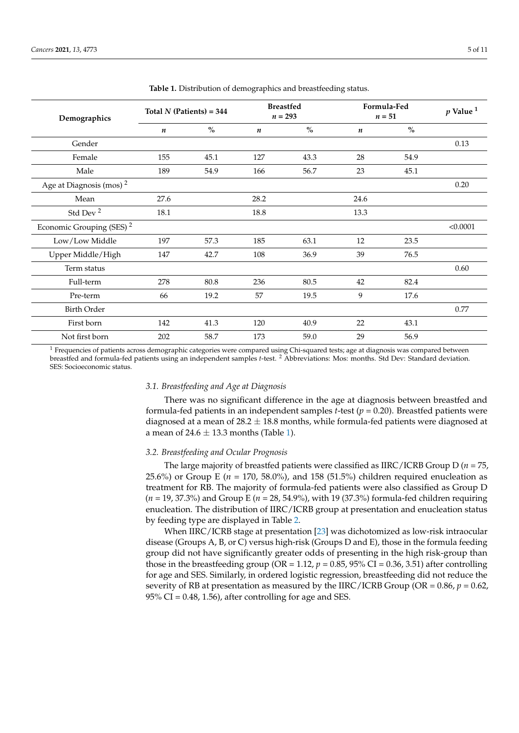<span id="page-4-0"></span>

| Demographics                         | Total $N$ (Patients) = 344 |               | <b>Breastfed</b><br>$n = 293$ |      | Formula-Fed<br>$n=51$ |               | $p$ Value $1$ |
|--------------------------------------|----------------------------|---------------|-------------------------------|------|-----------------------|---------------|---------------|
|                                      | $\boldsymbol{n}$           | $\frac{0}{0}$ | $\boldsymbol{n}$              | $\%$ | $\boldsymbol{n}$      | $\frac{0}{0}$ |               |
| Gender                               |                            |               |                               |      |                       |               | 0.13          |
| Female                               | 155                        | 45.1          | 127                           | 43.3 | 28                    | 54.9          |               |
| Male                                 | 189                        | 54.9          | 166                           | 56.7 | 23                    | 45.1          |               |
| Age at Diagnosis (mos) <sup>2</sup>  |                            |               |                               |      |                       |               | 0.20          |
| Mean                                 | 27.6                       |               | 28.2                          |      | 24.6                  |               |               |
| Std Dev <sup>2</sup>                 | 18.1                       |               | 18.8                          |      | 13.3                  |               |               |
| Economic Grouping (SES) <sup>2</sup> |                            |               |                               |      |                       |               | < 0.0001      |
| Low/Low Middle                       | 197                        | 57.3          | 185                           | 63.1 | 12                    | 23.5          |               |
| Upper Middle/High                    | 147                        | 42.7          | 108                           | 36.9 | 39                    | 76.5          |               |
| Term status                          |                            |               |                               |      |                       |               | 0.60          |
| Full-term                            | 278                        | 80.8          | 236                           | 80.5 | 42                    | 82.4          |               |
| Pre-term                             | 66                         | 19.2          | 57                            | 19.5 | 9                     | 17.6          |               |
| <b>Birth Order</b>                   |                            |               |                               |      |                       |               | 0.77          |
| First born                           | 142                        | 41.3          | 120                           | 40.9 | 22                    | 43.1          |               |
| Not first born                       | 202                        | 58.7          | 173                           | 59.0 | 29                    | 56.9          |               |

**Table 1.** Distribution of demographics and breastfeeding status.

 $1$  Frequencies of patients across demographic categories were compared using Chi-squared tests; age at diagnosis was compared between breastfed and formula-fed patients using an independent samples *t*-test. <sup>2</sup> Abbreviations: Mos: months. Std Dev: Standard deviation. SES: Socioeconomic status.

#### *3.1. Breastfeeding and Age at Diagnosis*

There was no significant difference in the age at diagnosis between breastfed and formula-fed patients in an independent samples *t*-test (*p* = 0.20). Breastfed patients were diagnosed at a mean of  $28.2 \pm 18.8$  months, while formula-fed patients were diagnosed at a mean of  $24.6 \pm 13.3$  months (Table [1\)](#page-4-0).

#### *3.2. Breastfeeding and Ocular Prognosis*

The large majority of breastfed patients were classified as IIRC/ICRB Group D ( $n = 75$ , 25.6%) or Group E (*n* = 170, 58.0%), and 158 (51.5%) children required enucleation as treatment for RB. The majority of formula-fed patients were also classified as Group D (*n* = 19, 37.3%) and Group E (*n* = 28, 54.9%), with 19 (37.3%) formula-fed children requiring enucleation. The distribution of IIRC/ICRB group at presentation and enucleation status by feeding type are displayed in Table [2.](#page-5-0)

When IIRC/ICRB stage at presentation [\[23\]](#page-10-4) was dichotomized as low-risk intraocular disease (Groups A, B, or C) versus high-risk (Groups D and E), those in the formula feeding group did not have significantly greater odds of presenting in the high risk-group than those in the breastfeeding group (OR = 1.12,  $p = 0.85$ , 95% CI = 0.36, 3.51) after controlling for age and SES. Similarly, in ordered logistic regression, breastfeeding did not reduce the severity of RB at presentation as measured by the IIRC/ICRB Group (OR =  $0.86$ ,  $p = 0.62$ ,  $95\%$  CI = 0.48, 1.56), after controlling for age and SES.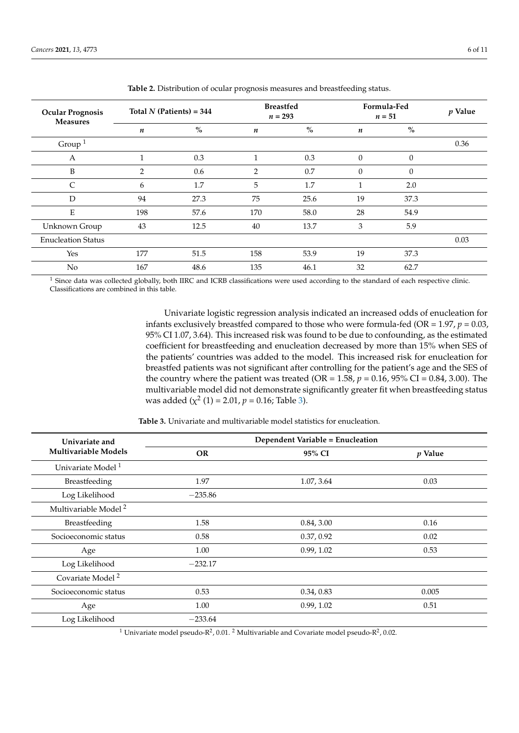<span id="page-5-0"></span>

| <b>Ocular Prognosis</b><br><b>Measures</b> | Total $N$ (Patients) = 344 |      | <b>Breastfed</b><br>$n = 293$ |      | Formula-Fed<br>$n=51$ |          | $p$ Value |
|--------------------------------------------|----------------------------|------|-------------------------------|------|-----------------------|----------|-----------|
|                                            | $\boldsymbol{n}$           | $\%$ | $\boldsymbol{n}$              | $\%$ | n                     | $\%$     |           |
| Group $1$                                  |                            |      |                               |      |                       |          | 0.36      |
| А                                          | $\mathbf{1}$               | 0.3  | $\mathbf{1}$                  | 0.3  | $\theta$              | $\theta$ |           |
| B                                          | $\overline{2}$             | 0.6  | $\overline{2}$                | 0.7  | $\theta$              | $\theta$ |           |
| $\mathsf{C}$                               | 6                          | 1.7  | 5                             | 1.7  | 1                     | 2.0      |           |
| D                                          | 94                         | 27.3 | 75                            | 25.6 | 19                    | 37.3     |           |
| E                                          | 198                        | 57.6 | 170                           | 58.0 | 28                    | 54.9     |           |
| Unknown Group                              | 43                         | 12.5 | 40                            | 13.7 | 3                     | 5.9      |           |
| <b>Enucleation Status</b>                  |                            |      |                               |      |                       |          | 0.03      |
| Yes                                        | 177                        | 51.5 | 158                           | 53.9 | 19                    | 37.3     |           |
| No                                         | 167                        | 48.6 | 135                           | 46.1 | 32                    | 62.7     |           |

**Table 2.** Distribution of ocular prognosis measures and breastfeeding status.

<sup>1</sup> Since data was collected globally, both IIRC and ICRB classifications were used according to the standard of each respective clinic. Classifications are combined in this table.

> Univariate logistic regression analysis indicated an increased odds of enucleation for infants exclusively breastfed compared to those who were formula-fed (OR =  $1.97$ ,  $p = 0.03$ , 95% CI 1.07, 3.64). This increased risk was found to be due to confounding, as the estimated coefficient for breastfeeding and enucleation decreased by more than 15% when SES of the patients' countries was added to the model. This increased risk for enucleation for breastfed patients was not significant after controlling for the patient's age and the SES of the country where the patient was treated (OR =  $1.58$ ,  $p = 0.16$ ,  $95\%$  CI =  $0.84$ , 3.00). The multivariable model did not demonstrate significantly greater fit when breastfeeding status was added  $(\chi^2(1) = 2.01, p = 0.16;$  Table [3\)](#page-5-1).

<span id="page-5-1"></span>

| Univariate and                   | <b>Dependent Variable = Enucleation</b> |            |           |  |  |  |
|----------------------------------|-----------------------------------------|------------|-----------|--|--|--|
| <b>Multivariable Models</b>      | <b>OR</b>                               | 95% CI     | $p$ Value |  |  |  |
| Univariate Model <sup>1</sup>    |                                         |            |           |  |  |  |
| Breastfeeding                    | 1.97                                    | 1.07, 3.64 | 0.03      |  |  |  |
| Log Likelihood                   | $-235.86$                               |            |           |  |  |  |
| Multivariable Model <sup>2</sup> |                                         |            |           |  |  |  |
| Breastfeeding                    | 1.58                                    | 0.84, 3.00 | 0.16      |  |  |  |
| Socioeconomic status             | 0.58                                    | 0.37, 0.92 | 0.02      |  |  |  |
| Age                              | 1.00                                    | 0.99, 1.02 | 0.53      |  |  |  |
| Log Likelihood                   | $-232.17$                               |            |           |  |  |  |
| Covariate Model <sup>2</sup>     |                                         |            |           |  |  |  |
| Socioeconomic status             | 0.53                                    | 0.34, 0.83 | 0.005     |  |  |  |
| Age                              | 1.00                                    | 0.99, 1.02 | 0.51      |  |  |  |
| Log Likelihood                   | $-233.64$                               |            |           |  |  |  |

**Table 3.** Univariate and multivariable model statistics for enucleation.

 $^1$  Univariate model pseudo-R<sup>2</sup>, 0.01. <sup>2</sup> Multivariable and Covariate model pseudo-R<sup>2</sup>, 0.02.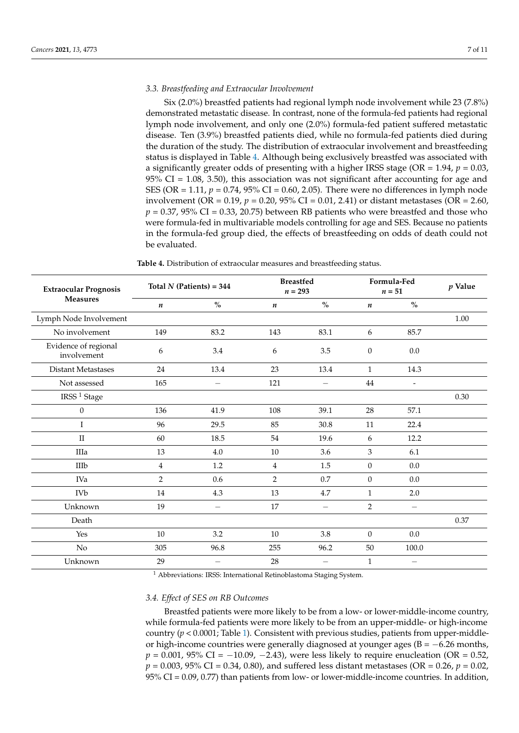### *3.3. Breastfeeding and Extraocular Involvement*

Six (2.0%) breastfed patients had regional lymph node involvement while 23 (7.8%) demonstrated metastatic disease. In contrast, none of the formula-fed patients had regional lymph node involvement, and only one (2.0%) formula-fed patient suffered metastatic disease. Ten (3.9%) breastfed patients died, while no formula-fed patients died during the duration of the study. The distribution of extraocular involvement and breastfeeding status is displayed in Table [4.](#page-6-0) Although being exclusively breastfed was associated with a significantly greater odds of presenting with a higher IRSS stage (OR =  $1.94$ ,  $p = 0.03$ ,  $95\%$  CI = 1.08, 3.50), this association was not significant after accounting for age and SES (OR =  $1.11$ ,  $p = 0.74$ ,  $95\%$  CI = 0.60, 2.05). There were no differences in lymph node involvement (OR = 0.19, *p* = 0.20, 95% CI = 0.01, 2.41) or distant metastases (OR = 2.60,  $p = 0.37$ , 95% CI = 0.33, 20.75) between RB patients who were breastfed and those who were formula-fed in multivariable models controlling for age and SES. Because no patients in the formula-fed group died, the effects of breastfeeding on odds of death could not be evaluated.

**Table 4.** Distribution of extraocular measures and breastfeeding status.

<span id="page-6-0"></span>

| <b>Extraocular Prognosis</b><br><b>Measures</b> | Total $N$ (Patients) = 344 |      | <b>Breastfed</b><br>$n = 293$ |                          | Formula-Fed<br>$n=51$ |                          | $p$ Value |
|-------------------------------------------------|----------------------------|------|-------------------------------|--------------------------|-----------------------|--------------------------|-----------|
|                                                 | $\boldsymbol{n}$           | $\%$ | $\boldsymbol{n}$              | $\%$                     | $\boldsymbol{n}$      | $\%$                     |           |
| Lymph Node Involvement                          |                            |      |                               |                          |                       |                          | 1.00      |
| No involvement                                  | 149                        | 83.2 | 143                           | 83.1                     | 6                     | 85.7                     |           |
| Evidence of regional<br>involvement             | 6                          | 3.4  | 6                             | 3.5                      | $\boldsymbol{0}$      | 0.0                      |           |
| <b>Distant Metastases</b>                       | 24                         | 13.4 | 23                            | 13.4                     | $\mathbf{1}$          | 14.3                     |           |
| Not assessed                                    | 165                        |      | 121                           |                          | 44                    | $\overline{a}$           |           |
| IRSS <sup>1</sup> Stage                         |                            |      |                               |                          |                       |                          | 0.30      |
| $\boldsymbol{0}$                                | 136                        | 41.9 | 108                           | 39.1                     | 28                    | 57.1                     |           |
| I                                               | 96                         | 29.5 | 85                            | 30.8                     | 11                    | 22.4                     |           |
| $\rm II$                                        | 60                         | 18.5 | 54                            | 19.6                     | 6                     | 12.2                     |           |
| IIIa                                            | 13                         | 4.0  | 10                            | 3.6                      | 3                     | 6.1                      |           |
| IIIb                                            | 4                          | 1.2  | 4                             | 1.5                      | $\boldsymbol{0}$      | 0.0                      |           |
| IVa                                             | $\overline{2}$             | 0.6  | $\overline{2}$                | 0.7                      | $\mathbf{0}$          | 0.0                      |           |
| IVb                                             | 14                         | 4.3  | 13                            | 4.7                      | $\mathbf{1}$          | 2.0                      |           |
| Unknown                                         | 19                         |      | 17                            | $\overline{\phantom{0}}$ | $\overline{2}$        | $\overline{\phantom{0}}$ |           |
| Death                                           |                            |      |                               |                          |                       |                          | 0.37      |
| Yes                                             | $10\,$                     | 3.2  | 10                            | 3.8                      | $\boldsymbol{0}$      | 0.0                      |           |
| No                                              | 305                        | 96.8 | 255                           | 96.2                     | 50                    | 100.0                    |           |
| Unknown                                         | 29                         |      | 28                            |                          | $\mathbf{1}$          |                          |           |

<sup>1</sup> Abbreviations: IRSS: International Retinoblastoma Staging System.

#### *3.4. Effect of SES on RB Outcomes*

Breastfed patients were more likely to be from a low- or lower-middle-income country, while formula-fed patients were more likely to be from an upper-middle- or high-income country  $(p < 0.0001$ ; Table [1\)](#page-4-0). Consistent with previous studies, patients from upper-middleor high-income countries were generally diagnosed at younger ages ( $B = -6.26$  months,  $p = 0.001$ , 95% CI =  $-10.09$ ,  $-2.43$ ), were less likely to require enucleation (OR = 0.52, *p* = 0.003, 95% CI = 0.34, 0.80), and suffered less distant metastases (OR = 0.26, *p* = 0.02, 95% CI = 0.09, 0.77) than patients from low- or lower-middle-income countries. In addition,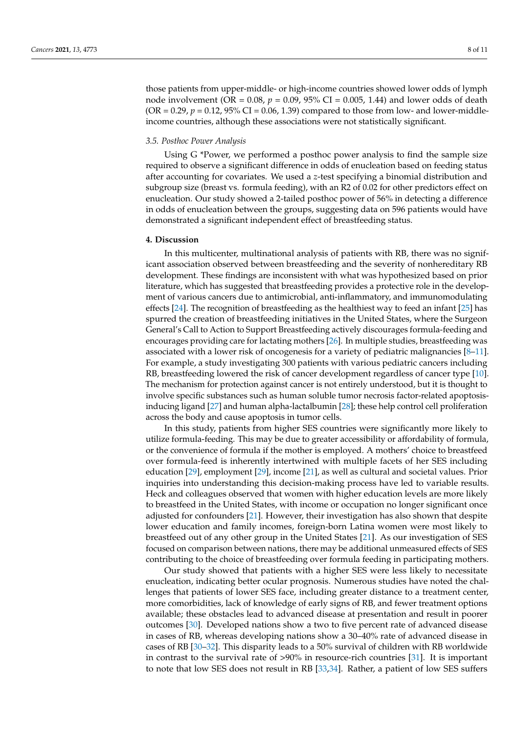those patients from upper-middle- or high-income countries showed lower odds of lymph node involvement (OR = 0.08, *p* = 0.09, 95% CI = 0.005, 1.44) and lower odds of death  $(OR = 0.29, p = 0.12, 95\% \text{ CI} = 0.06, 1.39)$  compared to those from low- and lower-middleincome countries, although these associations were not statistically significant.

#### *3.5. Posthoc Power Analysis*

Using G \*Power, we performed a posthoc power analysis to find the sample size required to observe a significant difference in odds of enucleation based on feeding status after accounting for covariates. We used a *z*-test specifying a binomial distribution and subgroup size (breast vs. formula feeding), with an R2 of 0.02 for other predictors effect on enucleation. Our study showed a 2-tailed posthoc power of 56% in detecting a difference in odds of enucleation between the groups, suggesting data on 596 patients would have demonstrated a significant independent effect of breastfeeding status.

### **4. Discussion**

In this multicenter, multinational analysis of patients with RB, there was no significant association observed between breastfeeding and the severity of nonhereditary RB development. These findings are inconsistent with what was hypothesized based on prior literature, which has suggested that breastfeeding provides a protective role in the development of various cancers due to antimicrobial, anti-inflammatory, and immunomodulating effects [\[24\]](#page-10-5). The recognition of breastfeeding as the healthiest way to feed an infant [\[25\]](#page-10-6) has spurred the creation of breastfeeding initiatives in the United States, where the Surgeon General's Call to Action to Support Breastfeeding actively discourages formula-feeding and encourages providing care for lactating mothers [\[26\]](#page-10-7). In multiple studies, breastfeeding was associated with a lower risk of oncogenesis for a variety of pediatric malignancies [\[8](#page-9-7)[–11\]](#page-9-8). For example, a study investigating 300 patients with various pediatric cancers including RB, breastfeeding lowered the risk of cancer development regardless of cancer type [\[10\]](#page-9-12). The mechanism for protection against cancer is not entirely understood, but it is thought to involve specific substances such as human soluble tumor necrosis factor-related apoptosisinducing ligand [\[27\]](#page-10-8) and human alpha-lactalbumin [\[28\]](#page-10-9); these help control cell proliferation across the body and cause apoptosis in tumor cells.

In this study, patients from higher SES countries were significantly more likely to utilize formula-feeding. This may be due to greater accessibility or affordability of formula, or the convenience of formula if the mother is employed. A mothers' choice to breastfeed over formula-feed is inherently intertwined with multiple facets of her SES including education [\[29\]](#page-10-10), employment [\[29\]](#page-10-10), income [\[21\]](#page-10-11), as well as cultural and societal values. Prior inquiries into understanding this decision-making process have led to variable results. Heck and colleagues observed that women with higher education levels are more likely to breastfeed in the United States, with income or occupation no longer significant once adjusted for confounders [\[21\]](#page-10-11). However, their investigation has also shown that despite lower education and family incomes, foreign-born Latina women were most likely to breastfeed out of any other group in the United States [\[21\]](#page-10-11). As our investigation of SES focused on comparison between nations, there may be additional unmeasured effects of SES contributing to the choice of breastfeeding over formula feeding in participating mothers.

Our study showed that patients with a higher SES were less likely to necessitate enucleation, indicating better ocular prognosis. Numerous studies have noted the challenges that patients of lower SES face, including greater distance to a treatment center, more comorbidities, lack of knowledge of early signs of RB, and fewer treatment options available; these obstacles lead to advanced disease at presentation and result in poorer outcomes [\[30\]](#page-10-12). Developed nations show a two to five percent rate of advanced disease in cases of RB, whereas developing nations show a 30–40% rate of advanced disease in cases of RB [\[30–](#page-10-12)[32\]](#page-10-13). This disparity leads to a 50% survival of children with RB worldwide in contrast to the survival rate of >90% in resource-rich countries [\[31\]](#page-10-14). It is important to note that low SES does not result in RB [\[33,](#page-10-15)[34\]](#page-10-16). Rather, a patient of low SES suffers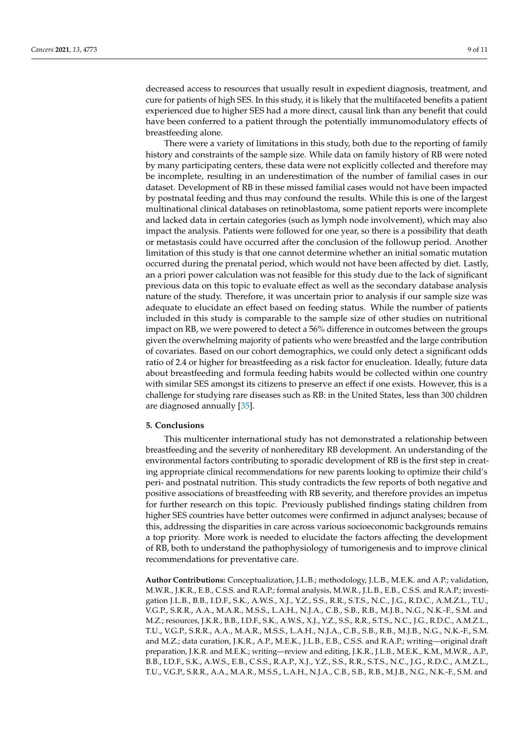decreased access to resources that usually result in expedient diagnosis, treatment, and cure for patients of high SES. In this study, it is likely that the multifaceted benefits a patient experienced due to higher SES had a more direct, causal link than any benefit that could have been conferred to a patient through the potentially immunomodulatory effects of breastfeeding alone.

There were a variety of limitations in this study, both due to the reporting of family history and constraints of the sample size. While data on family history of RB were noted by many participating centers, these data were not explicitly collected and therefore may be incomplete, resulting in an underestimation of the number of familial cases in our dataset. Development of RB in these missed familial cases would not have been impacted by postnatal feeding and thus may confound the results. While this is one of the largest multinational clinical databases on retinoblastoma, some patient reports were incomplete and lacked data in certain categories (such as lymph node involvement), which may also impact the analysis. Patients were followed for one year, so there is a possibility that death or metastasis could have occurred after the conclusion of the followup period. Another limitation of this study is that one cannot determine whether an initial somatic mutation occurred during the prenatal period, which would not have been affected by diet. Lastly, an a priori power calculation was not feasible for this study due to the lack of significant previous data on this topic to evaluate effect as well as the secondary database analysis nature of the study. Therefore, it was uncertain prior to analysis if our sample size was adequate to elucidate an effect based on feeding status. While the number of patients included in this study is comparable to the sample size of other studies on nutritional impact on RB, we were powered to detect a 56% difference in outcomes between the groups given the overwhelming majority of patients who were breastfed and the large contribution of covariates. Based on our cohort demographics, we could only detect a significant odds ratio of 2.4 or higher for breastfeeding as a risk factor for enucleation. Ideally, future data about breastfeeding and formula feeding habits would be collected within one country with similar SES amongst its citizens to preserve an effect if one exists. However, this is a challenge for studying rare diseases such as RB: in the United States, less than 300 children are diagnosed annually [\[35\]](#page-10-17).

## **5. Conclusions**

This multicenter international study has not demonstrated a relationship between breastfeeding and the severity of nonhereditary RB development. An understanding of the environmental factors contributing to sporadic development of RB is the first step in creating appropriate clinical recommendations for new parents looking to optimize their child's peri- and postnatal nutrition. This study contradicts the few reports of both negative and positive associations of breastfeeding with RB severity, and therefore provides an impetus for further research on this topic. Previously published findings stating children from higher SES countries have better outcomes were confirmed in adjunct analyses; because of this, addressing the disparities in care across various socioeconomic backgrounds remains a top priority. More work is needed to elucidate the factors affecting the development of RB, both to understand the pathophysiology of tumorigenesis and to improve clinical recommendations for preventative care.

**Author Contributions:** Conceptualization, J.L.B.; methodology, J.L.B., M.E.K. and A.P.; validation, M.W.R., J.K.R., E.B., C.S.S. and R.A.P.; formal analysis, M.W.R., J.L.B., E.B., C.S.S. and R.A.P.; investigation J.L.B., B.B., I.D.F., S.K., A.W.S., X.J., Y.Z., S.S., R.R., S.T.S., N.C., J.G., R.D.C., A.M.Z.L., T.U., V.G.P., S.R.R., A.A., M.A.R., M.S.S., L.A.H., N.J.A., C.B., S.B., R.B., M.J.B., N.G., N.K.-F., S.M. and M.Z.; resources, J.K.R., B.B., I.D.F., S.K., A.W.S., X.J., Y.Z., S.S., R.R., S.T.S., N.C., J.G., R.D.C., A.M.Z.L., T.U., V.G.P., S.R.R., A.A., M.A.R., M.S.S., L.A.H., N.J.A., C.B., S.B., R.B., M.J.B., N.G., N.K.-F., S.M. and M.Z.; data curation, J.K.R., A.P., M.E.K., J.L.B., E.B., C.S.S. and R.A.P.; writing—original draft preparation, J.K.R. and M.E.K.; writing—review and editing, J.K.R., J.L.B., M.E.K., K.M., M.W.R., A.P., B.B., I.D.F., S.K., A.W.S., E.B., C.S.S., R.A.P., X.J., Y.Z., S.S., R.R., S.T.S., N.C., J.G., R.D.C., A.M.Z.L., T.U., V.G.P., S.R.R., A.A., M.A.R., M.S.S., L.A.H., N.J.A., C.B., S.B., R.B., M.J.B., N.G., N.K.-F., S.M. and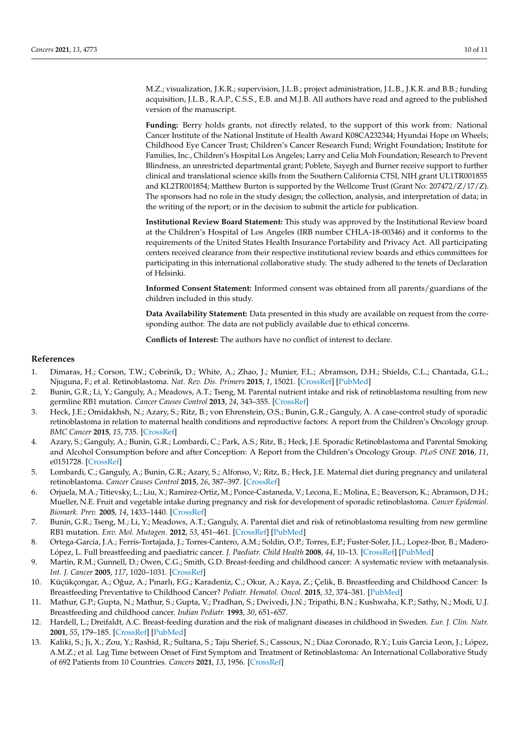M.Z.; visualization, J.K.R.; supervision, J.L.B.; project administration, J.L.B., J.K.R. and B.B.; funding acquisition, J.L.B., R.A.P., C.S.S., E.B. and M.J.B. All authors have read and agreed to the published version of the manuscript.

**Funding:** Berry holds grants, not directly related, to the support of this work from: National Cancer Institute of the National Institute of Health Award K08CA232344; Hyundai Hope on Wheels; Childhood Eye Cancer Trust; Children's Cancer Research Fund; Wright Foundation; Institute for Families, Inc., Children's Hospital Los Angeles; Larry and Celia Moh Foundation; Research to Prevent Blindness, an unrestricted departmental grant; Poblete, Sayegh and Burner receive support to further clinical and translational science skills from the Southern California CTSI, NIH grant UL1TR001855 and KL2TR001854; Matthew Burton is supported by the Wellcome Trust (Grant No: 207472/Z/17/Z). The sponsors had no role in the study design; the collection, analysis, and interpretation of data; in the writing of the report; or in the decision to submit the article for publication.

**Institutional Review Board Statement:** This study was approved by the Institutional Review board at the Children's Hospital of Los Angeles (IRB number CHLA-18-00346) and it conforms to the requirements of the United States Health Insurance Portability and Privacy Act. All participating centers received clearance from their respective institutional review boards and ethics committees for participating in this international collaborative study. The study adhered to the tenets of Declaration of Helsinki.

**Informed Consent Statement:** Informed consent was obtained from all parents/guardians of the children included in this study.

**Data Availability Statement:** Data presented in this study are available on request from the corresponding author. The data are not publicly available due to ethical concerns.

**Conflicts of Interest:** The authors have no conflict of interest to declare.

## **References**

- <span id="page-9-0"></span>1. Dimaras, H.; Corson, T.W.; Cobrinik, D.; White, A.; Zhao, J.; Munier, F.L.; Abramson, D.H.; Shields, C.L.; Chantada, G.L.; Njuguna, F.; et al. Retinoblastoma. *Nat. Rev. Dis. Primers* **2015**, *1*, 15021. [\[CrossRef\]](http://doi.org/10.1038/nrdp.2015.21) [\[PubMed\]](http://www.ncbi.nlm.nih.gov/pubmed/27189421)
- <span id="page-9-1"></span>2. Bunin, G.R.; Li, Y.; Ganguly, A.; Meadows, A.T.; Tseng, M. Parental nutrient intake and risk of retinoblastoma resulting from new germline RB1 mutation. *Cancer Causes Control* **2013**, *24*, 343–355. [\[CrossRef\]](http://doi.org/10.1007/s10552-012-0120-x)
- <span id="page-9-2"></span>3. Heck, J.E.; Omidakhsh, N.; Azary, S.; Ritz, B.; von Ehrenstein, O.S.; Bunin, G.R.; Ganguly, A. A case-control study of sporadic retinoblastoma in relation to maternal health conditions and reproductive factors: A report from the Children's Oncology group. *BMC Cancer* **2015**, *15*, 735. [\[CrossRef\]](http://doi.org/10.1186/s12885-015-1773-0)
- <span id="page-9-3"></span>4. Azary, S.; Ganguly, A.; Bunin, G.R.; Lombardi, C.; Park, A.S.; Ritz, B.; Heck, J.E. Sporadic Retinoblastoma and Parental Smoking and Alcohol Consumption before and after Conception: A Report from the Children's Oncology Group. *PLoS ONE* **2016**, *11*, e0151728. [\[CrossRef\]](http://doi.org/10.1371/journal.pone.0151728)
- <span id="page-9-4"></span>5. Lombardi, C.; Ganguly, A.; Bunin, G.R.; Azary, S.; Alfonso, V.; Ritz, B.; Heck, J.E. Maternal diet during pregnancy and unilateral retinoblastoma. *Cancer Causes Control* **2015**, *26*, 387–397. [\[CrossRef\]](http://doi.org/10.1007/s10552-014-0514-z)
- <span id="page-9-5"></span>6. Orjuela, M.A.; Titievsky, L.; Liu, X.; Ramirez-Ortiz, M.; Ponce-Castaneda, V.; Lecona, E.; Molina, E.; Beaverson, K.; Abramson, D.H.; Mueller, N.E. Fruit and vegetable intake during pregnancy and risk for development of sporadic retinoblastoma. *Cancer Epidemiol. Biomark. Prev.* **2005**, *14*, 1433–1440. [\[CrossRef\]](http://doi.org/10.1158/1055-9965.EPI-04-0427)
- <span id="page-9-6"></span>7. Bunin, G.R.; Tseng, M.; Li, Y.; Meadows, A.T.; Ganguly, A. Parental diet and risk of retinoblastoma resulting from new germline RB1 mutation. *Env. Mol. Mutagen.* **2012**, *53*, 451–461. [\[CrossRef\]](http://doi.org/10.1002/em.21705) [\[PubMed\]](http://www.ncbi.nlm.nih.gov/pubmed/22730229)
- <span id="page-9-7"></span>8. Ortega-García, J.A.; Ferrís-Tortajada, J.; Torres-Cantero, A.M.; Soldin, O.P.; Torres, E.P.; Fuster-Soler, J.L.; Lopez-Ibor, B.; Madero-López, L. Full breastfeeding and paediatric cancer. *J. Paediatr. Child Health* **2008**, *44*, 10–13. [\[CrossRef\]](http://doi.org/10.1111/j.1440-1754.2007.01252.x) [\[PubMed\]](http://www.ncbi.nlm.nih.gov/pubmed/17999666)
- <span id="page-9-9"></span>9. Martin, R.M.; Gunnell, D.; Owen, C.G.; Smith, G.D. Breast-feeding and childhood cancer: A systematic review with metaanalysis. *Int. J. Cancer* **2005**, *117*, 1020–1031. [\[CrossRef\]](http://doi.org/10.1002/ijc.21274)
- <span id="page-9-12"></span>10. Küçükçongar, A.; Oğuz, A.; Pınarlı, F.G.; Karadeniz, C.; Okur, A.; Kaya, Z.; Çelik, B. Breastfeeding and Childhood Cancer: Is Breastfeeding Preventative to Childhood Cancer? *Pediatr. Hematol. Oncol.* **2015**, *32*, 374–381. [\[PubMed\]](http://www.ncbi.nlm.nih.gov/pubmed/26269940)
- <span id="page-9-8"></span>11. Mathur, G.P.; Gupta, N.; Mathur, S.; Gupta, V.; Pradhan, S.; Dwivedi, J.N.; Tripathi, B.N.; Kushwaha, K.P.; Sathy, N.; Modi, U.J. Breastfeeding and childhood cancer. *Indian Pediatr.* **1993**, *30*, 651–657.
- <span id="page-9-10"></span>12. Hardell, L.; Dreifaldt, A.C. Breast-feeding duration and the risk of malignant diseases in childhood in Sweden. *Eur. J. Clin. Nutr.* **2001**, *55*, 179–185. [\[CrossRef\]](http://doi.org/10.1038/sj.ejcn.1601142) [\[PubMed\]](http://www.ncbi.nlm.nih.gov/pubmed/11305266)
- <span id="page-9-11"></span>13. Kaliki, S.; Ji, X.; Zou, Y.; Rashid, R.; Sultana, S.; Taju Sherief, S.; Cassoux, N.; Diaz Coronado, R.Y.; Luis Garcia Leon, J.; López, A.M.Z.; et al. Lag Time between Onset of First Symptom and Treatment of Retinoblastoma: An International Collaborative Study of 692 Patients from 10 Countries. *Cancers* **2021**, *13*, 1956. [\[CrossRef\]](http://doi.org/10.3390/cancers13081956)